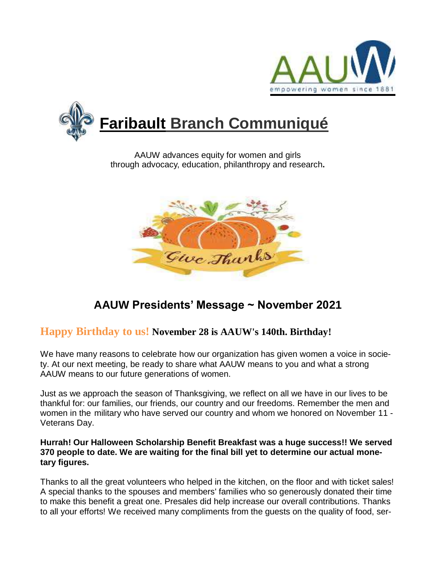



AAUW advances equity for women and girls through advocacy, education, philanthropy and research**.**



# **AAUW Presidents' Message ~ November 2021**

## **Happy Birthday to us! November 28 is AAUW's 140th. Birthday!**

We have many reasons to celebrate how our organization has given women a voice in society. At our next meeting, be ready to share what AAUW means to you and what a strong AAUW means to our future generations of women.

Just as we approach the season of Thanksgiving, we reflect on all we have in our lives to be thankful for: our families, our friends, our country and our freedoms. Remember the men and women in the military who have served our country and whom we honored on November 11 - Veterans Day.

### **Hurrah! Our Halloween Scholarship Benefit Breakfast was a huge success!! We served 370 people to date. We are waiting for the final bill yet to determine our actual monetary figures.**

Thanks to all the great volunteers who helped in the kitchen, on the floor and with ticket sales! A special thanks to the spouses and members' families who so generously donated their time to make this benefit a great one. Presales did help increase our overall contributions. Thanks to all your efforts! We received many compliments from the guests on the quality of food, ser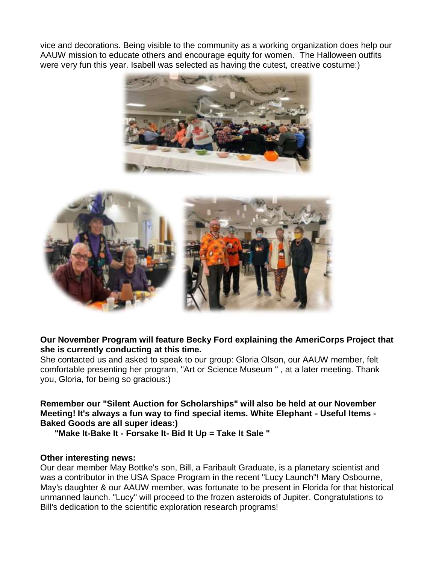vice and decorations. Being visible to the community as a working organization does help our AAUW mission to educate others and encourage equity for women. The Halloween outfits were very fun this year. Isabell was selected as having the cutest, creative costume:)





#### **Our November Program will feature Becky Ford explaining the AmeriCorps Project that she is currently conducting at this time.**

She contacted us and asked to speak to our group: Gloria Olson, our AAUW member, felt comfortable presenting her program, "Art or Science Museum '' , at a later meeting. Thank you, Gloria, for being so gracious:)

**Remember our "Silent Auction for Scholarships" will also be held at our November Meeting! It's always a fun way to find special items. White Elephant - Useful Items - Baked Goods are all super ideas:)**

**"Make It-Bake It - Forsake It- Bid It Up = Take It Sale "**

#### **Other interesting news:**

Our dear member May Bottke's son, Bill, a Faribault Graduate, is a planetary scientist and was a contributor in the USA Space Program in the recent "Lucy Launch"! Mary Osbourne, May's daughter & our AAUW member, was fortunate to be present in Florida for that historical unmanned launch. "Lucy" will proceed to the frozen asteroids of Jupiter. Congratulations to Bill's dedication to the scientific exploration research programs!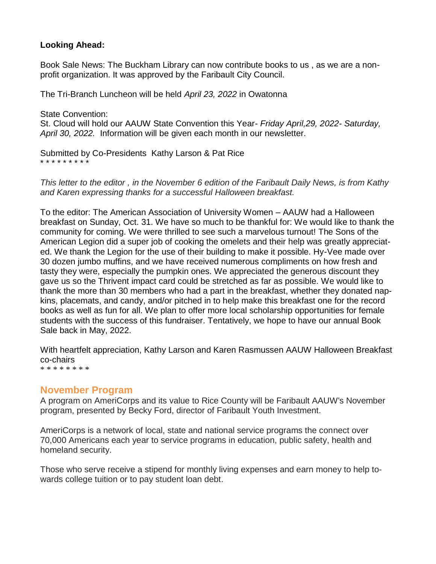### **Looking Ahead:**

Book Sale News: The Buckham Library can now contribute books to us , as we are a nonprofit organization. It was approved by the Faribault City Council.

The Tri-Branch Luncheon will be held *April 23, 2022* in Owatonna

State Convention: St. Cloud will hold our AAUW State Convention this Year- *Friday April,29, 2022- Saturday, April 30, 2022.* Information will be given each month in our newsletter.

Submitted by Co-Presidents Kathy Larson & Pat Rice \* \* \* \* \* \* \* \* \*

*This letter to the editor , in the November 6 edition of the Faribault Daily News, is from Kathy and Karen expressing thanks for a successful Halloween breakfast.*

To the editor: The American Association of University Women – AAUW had a Halloween breakfast on Sunday, Oct. 31. We have so much to be thankful for: We would like to thank the community for coming. We were thrilled to see such a marvelous turnout! The Sons of the American Legion did a super job of cooking the omelets and their help was greatly appreciated. We thank the Legion for the use of their building to make it possible. Hy-Vee made over 30 dozen jumbo muffins, and we have received numerous compliments on how fresh and tasty they were, especially the pumpkin ones. We appreciated the generous discount they gave us so the Thrivent impact card could be stretched as far as possible. We would like to thank the more than 30 members who had a part in the breakfast, whether they donated napkins, placemats, and candy, and/or pitched in to help make this breakfast one for the record books as well as fun for all. We plan to offer more local scholarship opportunities for female students with the success of this fundraiser. Tentatively, we hope to have our annual Book Sale back in May, 2022.

With heartfelt appreciation, Kathy Larson and Karen Rasmussen AAUW Halloween Breakfast co-chairs \* \* \* \* \* \* \* \*

### **November Program**

A program on AmeriCorps and its value to Rice County will be Faribault AAUW's November program, presented by Becky Ford, director of Faribault Youth Investment.

AmeriCorps is a network of local, state and national service programs the connect over 70,000 Americans each year to service programs in education, public safety, health and homeland security.

Those who serve receive a stipend for monthly living expenses and earn money to help towards college tuition or to pay student loan debt.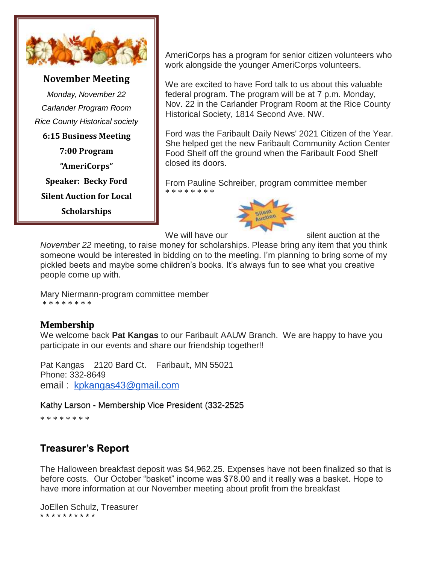

### **November Meeting**

*Monday, November 22 Carlander Program Room Rice County Historical society*

**6:15 Business Meeting**

**7:00 Program**

**"AmeriCorps"**

**Speaker: Becky Ford**

**Silent Auction for Local** 

**Scholarships**

AmeriCorps has a program for senior citizen volunteers who work alongside the younger AmeriCorps volunteers.

We are excited to have Ford talk to us about this valuable federal program. The program will be at 7 p.m. Monday, Nov. 22 in the Carlander Program Room at the Rice County Historical Society, 1814 Second Ave. NW.

Ford was the Faribault Daily News' 2021 Citizen of the Year. She helped get the new Faribault Community Action Center Food Shelf off the ground when the Faribault Food Shelf closed its doors.

From Pauline Schreiber, program committee member \* \* \* \* \* \* \* \*



We will have our silent auction at the

*November 22* meeting, to raise money for scholarships. Please bring any item that you think someone would be interested in bidding on to the meeting. I'm planning to bring some of my pickled beets and maybe some children's books. It's always fun to see what you creative people come up with.

Mary Niermann-program committee member \* \* \* \* \* \* \* \*

### **Membership**

We welcome back **Pat Kangas** to our Faribault AAUW Branch. We are happy to have you participate in our events and share our friendship together!!

Pat Kangas 2120 Bard Ct. Faribault, MN 55021 Phone: 332-8649 email : [kpkangas43@gmail.com](mailto:kpkangas43@gmail.com)

Kathy Larson - Membership Vice President (332-2525

\* \* \* \* \* \* \* \*

# **Treasurer's Report**

The Halloween breakfast deposit was \$4,962.25. Expenses have not been finalized so that is before costs. Our October "basket" income was \$78.00 and it really was a basket. Hope to have more information at our November meeting about profit from the breakfast

JoEllen Schulz, Treasurer \* \* \* \* \* \* \* \* \* \*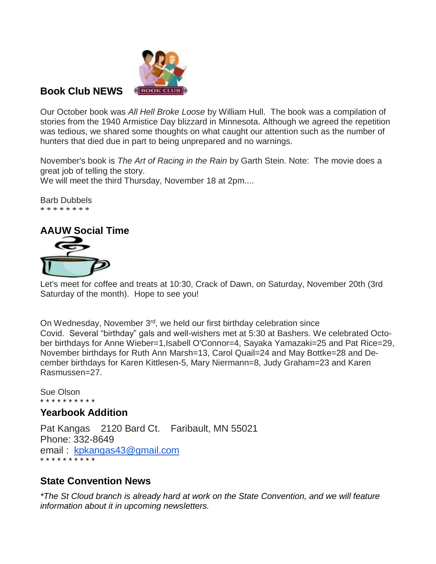

### **Book Club NEWS**

Our October book was *All Hell Broke Loose* by William Hull. The book was a compilation of stories from the 1940 Armistice Day blizzard in Minnesota. Although we agreed the repetition was tedious, we shared some thoughts on what caught our attention such as the number of hunters that died due in part to being unprepared and no warnings.

November's book is *The Art of Racing in the Rain* by Garth Stein. Note: The movie does a great job of telling the story.

We will meet the third Thursday, November 18 at 2pm....

Barb Dubbels \* \* \* \* \* \* \* \*



Let's meet for coffee and treats at 10:30, Crack of Dawn, on Saturday, November 20th (3rd Saturday of the month). Hope to see you!

On Wednesday, November 3<sup>rd</sup>, we held our first birthday celebration since Covid. Several "birthday" gals and well-wishers met at 5:30 at Bashers. We celebrated October birthdays for Anne Wieber=1,Isabell O'Connor=4, Sayaka Yamazaki=25 and Pat Rice=29, November birthdays for Ruth Ann Marsh=13, Carol Quail=24 and May Bottke=28 and December birthdays for Karen Kittlesen-5, Mary Niermann=8, Judy Graham=23 and Karen Rasmussen=27.

Sue Olson \* \* \* \* \* \* \* \* \* \*

### **Yearbook Addition**

Pat Kangas 2120 Bard Ct. Faribault, MN 55021 Phone: 332-8649 email : [kpkangas43@gmail.com](mailto:kpkangas43@gmail.com) \* \* \* \* \* \* \* \* \* \*

### **State Convention News**

*\*The St Cloud branch is already hard at work on the State Convention, and we will feature information about it in upcoming newsletters.*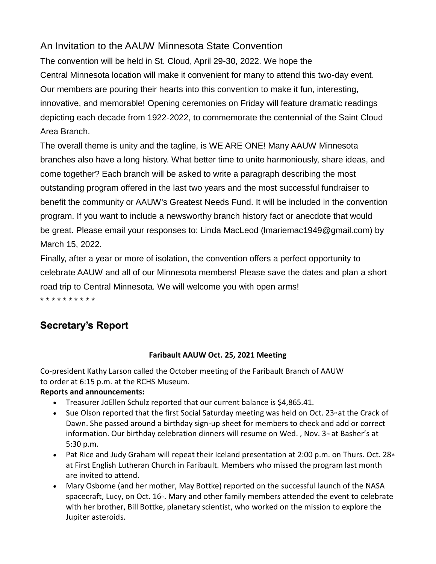## An Invitation to the AAUW Minnesota State Convention

The convention will be held in St. Cloud, April 29-30, 2022. We hope the Central Minnesota location will make it convenient for many to attend this two-day event. Our members are pouring their hearts into this convention to make it fun, interesting, innovative, and memorable! Opening ceremonies on Friday will feature dramatic readings depicting each decade from 1922-2022, to commemorate the centennial of the Saint Cloud Area Branch.

The overall theme is unity and the tagline, is WE ARE ONE! Many AAUW Minnesota branches also have a long history. What better time to unite harmoniously, share ideas, and come together? Each branch will be asked to write a paragraph describing the most outstanding program offered in the last two years and the most successful fundraiser to benefit the community or AAUW's Greatest Needs Fund. It will be included in the convention program. If you want to include a newsworthy branch history fact or anecdote that would be great. Please email your responses to: Linda MacLeod (lmariemac1949@gmail.com) by March 15, 2022.

Finally, after a year or more of isolation, the convention offers a perfect opportunity to celebrate AAUW and all of our Minnesota members! Please save the dates and plan a short road trip to Central Minnesota. We will welcome you with open arms! \* \* \* \* \* \* \* \* \* \*

# **Secretary's Report**

### **Faribault AAUW Oct. 25, 2021 Meeting**

Co-president Kathy Larson called the October meeting of the Faribault Branch of AAUW to order at 6:15 p.m. at the RCHS Museum.

### **Reports and announcements:**

- Treasurer JoEllen Schulz reported that our current balance is \$4,865.41.
- $\bullet$  Sue Olson reported that the first Social Saturday meeting was held on Oct. 23<sup> $\textdegree$ </sup> at the Crack of Dawn. She passed around a birthday sign-up sheet for members to check and add or correct information. Our birthday celebration dinners will resume on Wed. , Nov.  $3^{\omega}$  at Basher's at 5:30 p.m.
- Pat Rice and Judy Graham will repeat their Iceland presentation at 2:00 p.m. on Thurs. Oct. 28<sup>th</sup> at First English Lutheran Church in Faribault. Members who missed the program last month are invited to attend.
- Mary Osborne (and her mother, May Bottke) reported on the successful launch of the NASA spacecraft, Lucy, on Oct.  $16<sub>th</sub>$ . Mary and other family members attended the event to celebrate with her brother, Bill Bottke, planetary scientist, who worked on the mission to explore the Jupiter asteroids.